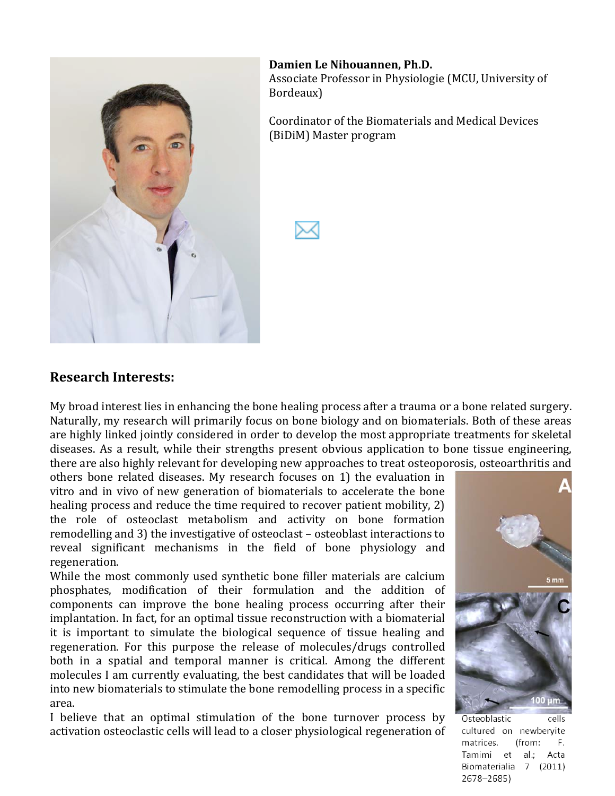

Damien Le Nihouannen, Ph.D. Associate Professor in Physiologie (MCU, University of Bordeaux)

Coordinator of the Biomaterials and Medical Devices (BiDiM) Master program



#### **Research'Interests:**

My broad interest lies in enhancing the bone healing process after a trauma or a bone related surgery. Naturally, my research will primarily focus on bone biology and on biomaterials. Both of these areas are highly linked jointly considered in order to develop the most appropriate treatments for skeletal diseases. As a result, while their strengths present obvious application to bone tissue engineering, there are also highly relevant for developing new approaches to treat osteoporosis, osteoarthritis and

others bone related diseases. My research focuses on 1) the evaluation in vitro and in vivo of new generation of biomaterials to accelerate the bone healing process and reduce the time required to recover patient mobility, 2) the role of osteoclast metabolism and activity on bone formation remodelling and 3) the investigative of osteoclast – osteoblast interactions to reveal significant mechanisms in the field of bone physiology and regeneration.)

While the most commonly used synthetic bone filler materials are calcium phosphates, modification of their formulation and the addition of components can improve the bone healing process occurring after their implantation. In fact, for an optimal tissue reconstruction with a biomaterial it is) important to simulate the biological sequence of tissue healing and regeneration. For this purpose the release of molecules/drugs controlled both in a spatial and temporal manner is critical. Among the different molecules I am currently evaluating, the best candidates that will be loaded into new biomaterials to stimulate the bone remodelling process in a specific area.

I) believe that an optimal stimulation of the bone turnover process by activation osteoclastic cells will lead to a closer physiological regeneration of



Osteoblastic cells cultured on newberyite F. matrices. (from: Tamimi et al.; Acta Biomaterialia 7 (2011) 2678-2685)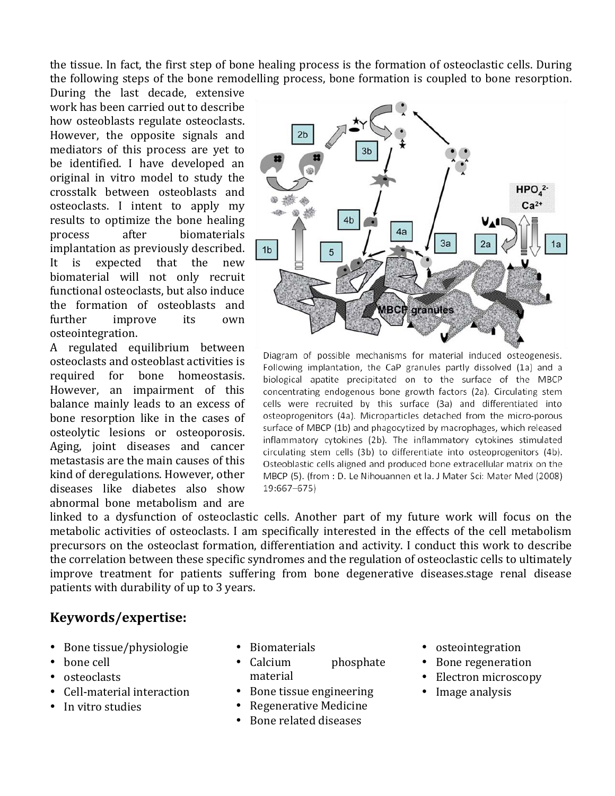the tissue. In fact, the first step of bone healing process is the formation of osteoclastic cells. During the following steps of the bone remodelling process, bone formation is coupled to bone resorption.

During the last decade, extensive work has been carried out to describe how osteoblasts regulate osteoclasts. However, the opposite signals and mediators of this process are yet to be identified. I have developed an original in vitro model to study the crosstalk) between) osteoblasts) and) osteoclasts. I intent to apply my results to optimize the bone healing process after biomaterials implantation as previously described. It is expected that the new biomaterial will not only recruit functional osteoclasts, but also induce the formation of osteoblasts and further improve its own osteointegration.

A) regulated) equilibrium) between) osteoclasts and osteoblast activities is required for bone homeostasis. However, an impairment of this balance mainly leads to an excess of bone resorption like in the cases of osteolytic) lesions) or) osteoporosis.) Aging, joint diseases and cancer metastasis are the main causes of this kind of deregulations. However, other diseases like diabetes also show abnormal bone metabolism and are



Diagram of possible mechanisms for material induced osteogenesis. Following implantation, the CaP granules partly dissolved (1a) and a biological apatite precipitated on to the surface of the MBCP concentrating endogenous bone growth factors (2a). Circulating stem cells were recruited by this surface (3a) and differentiated into osteoprogenitors (4a). Microparticles detached from the micro-porous surface of MBCP (1b) and phagocytized by macrophages, which released inflammatory cytokines (2b). The inflammatory cytokines stimulated circulating stem cells (3b) to differentiate into osteoprogenitors (4b). Osteoblastic cells aligned and produced bone extracellular matrix on the MBCP (5). (from : D. Le Nihouannen et la. J Mater Sci: Mater Med (2008) 19:667-675)

linked to a dysfunction of osteoclastic cells. Another part of my future work will focus on the metabolic activities of osteoclasts. I am specifically interested in the effects of the cell metabolism precursors on the osteoclast formation, differentiation and activity. I conduct this work to describe the correlation between these specific syndromes and the regulation of osteoclastic cells to ultimately improve treatment for patients suffering from bone degenerative diseases.stage renal disease patients with durability of up to 3 years.

# **Keywords/expertise:**

- Bone tissue/physiologie
- bone cell
- osteoclasts
- Cell-material interaction
- In vitro studies
- Biomaterials
- Calcium phosphate material
- Bone tissue engineering
- Regenerative Medicine
- Bone related diseases
- osteointegration
- Bone regeneration
- Electron microscopy
- Image analysis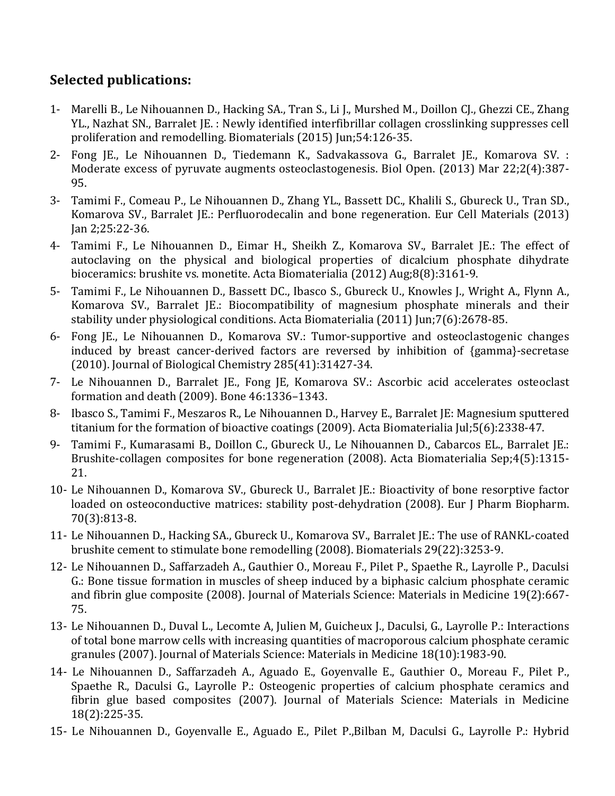# **Selected'publications:**

- 1- Marelli B., Le Nihouannen D., Hacking SA., Tran S., Li J., Murshed M., Doillon CJ., Ghezzi CE., Zhang YL., Nazhat SN., Barralet JE.: Newly identified interfibrillar collagen crosslinking suppresses cell proliferation and remodelling. Biomaterials (2015) Jun;54:126-35.
- 2- Fong JE., Le Nihouannen D., Tiedemann K., Sadvakassova G., Barralet JE., Komarova SV. : Moderate excess of pyruvate augments osteoclastogenesis. Biol Open. (2013) Mar 22;2(4):387-95.
- 3- Tamimi F., Comeau P., Le Nihouannen D., Zhang YL., Bassett DC., Khalili S., Gbureck U., Tran SD., Komarova SV., Barralet JE.: Perfluorodecalin and bone regeneration. Eur Cell Materials (2013)  $Jan 2:25:22-36.$
- 4- Tamimi F., Le Nihouannen D., Eimar H., Sheikh Z., Komarova SV., Barralet JE.: The effect of autoclaving on the physical and biological properties of dicalcium phosphate dihydrate bioceramics: brushite vs. monetite. Acta Biomaterialia (2012) Aug;8(8):3161-9.
- 5- Tamimi F., Le Nihouannen D., Bassett DC., Ibasco S., Gbureck U., Knowles J., Wright A., Flynn A., Komarova SV., Barralet JE.: Biocompatibility of magnesium phosphate minerals and their stability under physiological conditions. Acta Biomaterialia (2011) Jun;7(6):2678-85.
- 6- Fong JE., Le Nihouannen D., Komarova SV.: Tumor-supportive and osteoclastogenic changes induced by breast cancer-derived factors are reversed by inhibition of {gamma}-secretase (2010). Journal of Biological Chemistry  $285(41):31427-34$ .
- 7- Le Nihouannen D., Barralet JE., Fong JE, Komarova SV.: Ascorbic acid accelerates osteoclast formation and death (2009). Bone 46:1336-1343.
- 8- Ibasco S., Tamimi F., Meszaros R., Le Nihouannen D., Harvey E., Barralet JE: Magnesium sputtered titanium for the formation of bioactive coatings (2009). Acta Biomaterialia Jul;5(6):2338-47.
- 9- Tamimi F., Kumarasami B., Doillon C., Gbureck U., Le Nihouannen D., Cabarcos EL., Barralet JE.: Brushite-collagen composites for bone regeneration (2008). Acta Biomaterialia Sep;4(5):1315-21.
- 10- Le Nihouannen D., Komarova SV., Gbureck U., Barralet JE.: Bioactivity of bone resorptive factor loaded on osteoconductive matrices: stability post-dehydration (2008). Eur J Pharm Biopharm. 70(3):813-8.
- 11- Le Nihouannen D., Hacking SA., Gbureck U., Komarova SV., Barralet JE.: The use of RANKL-coated brushite cement to stimulate bone remodelling (2008). Biomaterials 29(22):3253-9.
- 12- Le Nihouannen D., Saffarzadeh A., Gauthier O., Moreau F., Pilet P., Spaethe R., Layrolle P., Daculsi G.: Bone tissue formation in muscles of sheep induced by a biphasic calcium phosphate ceramic and fibrin glue composite (2008). Journal of Materials Science: Materials in Medicine 19(2):667-75.
- 13- Le Nihouannen D., Duval L., Lecomte A, Julien M, Guicheux J., Daculsi, G., Layrolle P.: Interactions of total bone marrow cells with increasing quantities of macroporous calcium phosphate ceramic granules (2007). Journal of Materials Science: Materials in Medicine 18(10):1983-90.
- 14- Le Nihouannen D., Saffarzadeh A., Aguado E., Goyenvalle E., Gauthier O., Moreau F., Pilet P., Spaethe R., Daculsi G., Layrolle P.: Osteogenic properties of calcium phosphate ceramics and fibrin glue based composites (2007). Journal of Materials Science: Materials in Medicine 18(2):225-35.
- 15- Le Nihouannen D., Goyenvalle E., Aguado E., Pilet P.,Bilban M, Daculsi G., Layrolle P.: Hybrid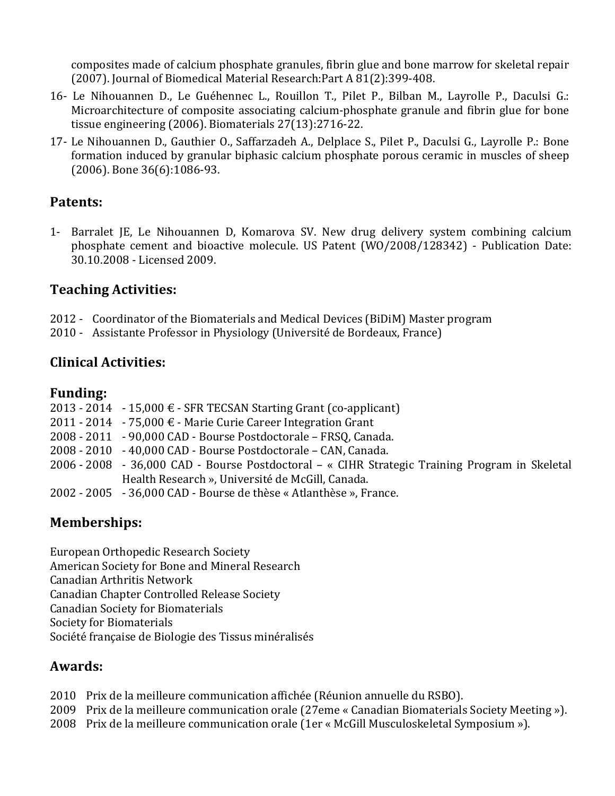composites made of calcium phosphate granules, fibrin glue and bone marrow for skeletal repair (2007). Journal of Biomedical Material Research:Part  $A\,81(2):399-408$ .

- 16- Le Nihouannen D., Le Guéhennec L., Rouillon T., Pilet P., Bilban M., Layrolle P., Daculsi G.: Microarchitecture of composite associating calcium-phosphate granule and fibrin glue for bone tissue engineering (2006). Biomaterials  $27(13):2716-22$ .
- 17- Le Nihouannen D., Gauthier O., Saffarzadeh A., Delplace S., Pilet P., Daculsi G., Layrolle P.: Bone formation induced by granular biphasic calcium phosphate porous ceramic in muscles of sheep  $(2006)$ . Bone 36(6):1086-93.

# **Patents:**

1- Barralet JE, Le Nihouannen D, Komarova SV. New drug delivery system combining calcium phosphate cement and bioactive molecule. US Patent (WO/2008/128342) - Publication Date: 30.10.2008 - Licensed 2009.

# **Teaching'Activities:**

- 2012 Coordinator of the Biomaterials and Medical Devices (BiDiM) Master program
- 2010 Assistante Professor in Physiology (Université de Bordeaux, France)

### **Clinical'Activities:**

### **Funding:**

|  | 2013 - 2014 - 15,000 € - SFR TECSAN Starting Grant (co-applicant)                              |
|--|------------------------------------------------------------------------------------------------|
|  | 2011 - 2014 - 75,000 € - Marie Curie Career Integration Grant                                  |
|  | 2008 - 2011 - 90,000 CAD - Bourse Postdoctorale – FRSQ, Canada.                                |
|  | 2008 - 2010 - 40,000 CAD - Bourse Postdoctorale – CAN, Canada.                                 |
|  | 2006 - 2008 - 36,000 CAD - Bourse Postdoctoral – « CIHR Strategic Training Program in Skeletal |
|  | Health Research », Université de McGill, Canada.                                               |
|  | 2002 - 2005 - 36,000 CAD - Bourse de thèse « Atlanthèse », France.                             |

# **Memberships:**

European Orthopedic Research Society American Society for Bone and Mineral Research Canadian)Arthritis)Network Canadian Chapter Controlled Release Society **Canadian Society for Biomaterials** Society for Biomaterials Société française de Biologie des Tissus minéralisés

### **Awards:**

- 2010 Prix de la meilleure communication affichée (Réunion annuelle du RSBO).
- 2009 Prix de la meilleure communication orale (27eme « Canadian Biomaterials Society Meeting »).
- 2008 Prix de la meilleure communication orale (1er « McGill Musculoskeletal Symposium »).